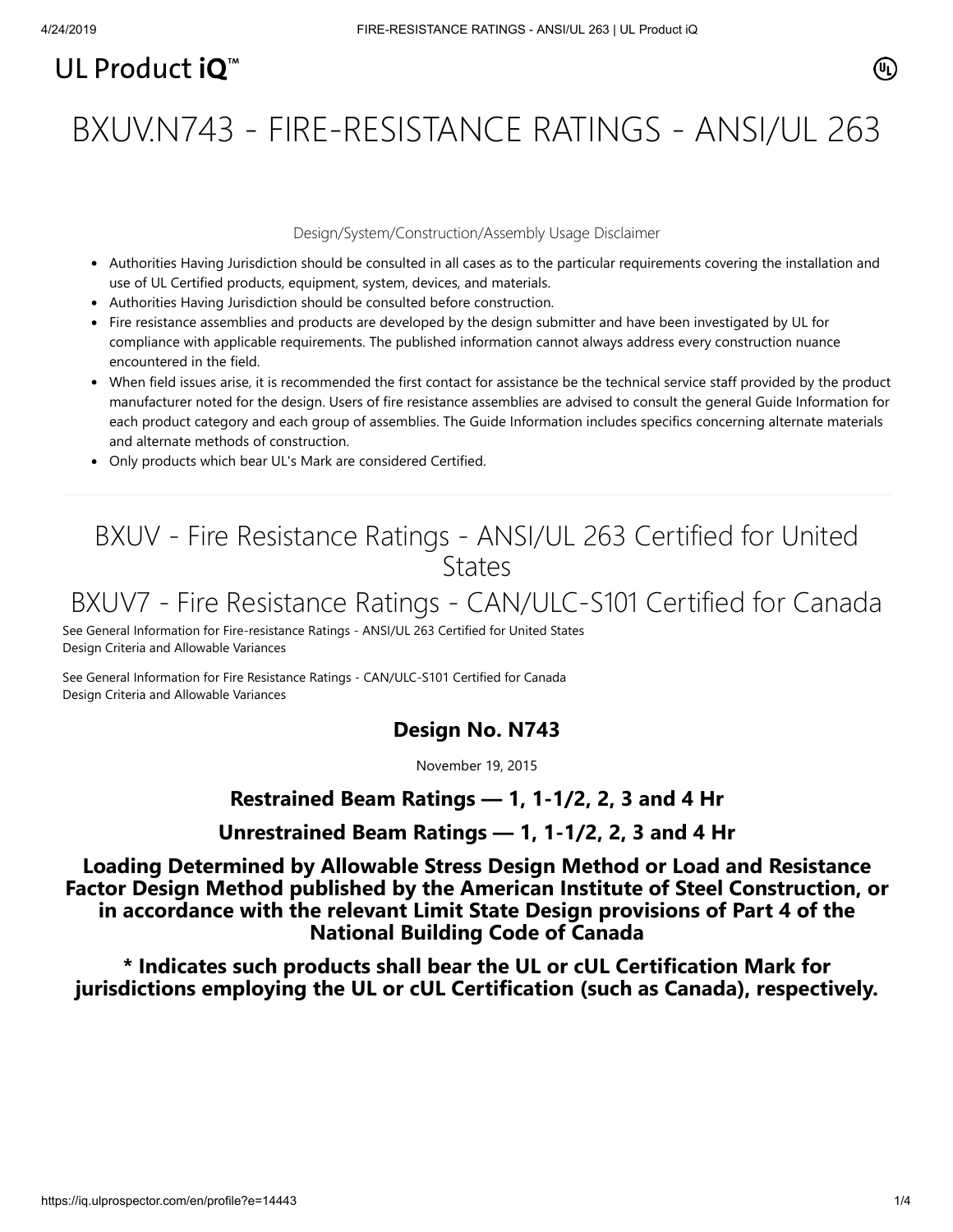# UL Product  $i\mathbf{O}^m$

# BXUV.N743 - FIRE-RESISTANCE RATINGS - ANSI/UL 263

#### Design/System/Construction/Assembly Usage Disclaimer

- Authorities Having Jurisdiction should be consulted in all cases as to the particular requirements covering the installation and use of UL Certified products, equipment, system, devices, and materials.
- Authorities Having Jurisdiction should be consulted before construction.
- Fire resistance assemblies and products are developed by the design submitter and have been investigated by UL for compliance with applicable requirements. The published information cannot always address every construction nuance encountered in the field.
- When field issues arise, it is recommended the first contact for assistance be the technical service staff provided by the product manufacturer noted for the design. Users of fire resistance assemblies are advised to consult the general Guide Information for each product category and each group of assemblies. The Guide Information includes specifics concerning alternate materials and alternate methods of construction.
- Only products which bear UL's Mark are considered Certified.

# BXUV - Fire Resistance Ratings - ANSI/UL 263 Certified for United **States**

# BXUV7 - Fire Resistance Ratings - CAN/ULC-S101 Certified for Canada

[See General Information for Fire-resistance Ratings - ANSI/UL 263 Certified for United States](https://iq.ulprospector.com/cgi-bin/XYV/template/LISEXT/1FRAME/showpage.html?name=BXUV.GuideInfo&ccnshorttitle=Fire-resistance+Ratings+-+ANSI/UL+263&objid=1074327030&cfgid=1073741824&version=versionless&parent_id=1073984818&sequence=1) Design Criteria and Allowable Variances

[See General Information for Fire Resistance Ratings - CAN/ULC-S101 Certified for Canada](https://iq.ulprospector.com/cgi-bin/XYV/template/LISEXT/1FRAME/showpage.html?name=BXUV7.GuideInfo&ccnshorttitle=Fire+Resistance+Ratings+-+CAN/ULC-S101+Certified+for+Canada&objid=1074205658&cfgid=1073741824&version=versionless&parent_id=1073984820&sequence=1) Design Criteria and Allowable Variances

### **Design No. N743**

November 19, 2015

### **Restrained Beam Ratings — 1, 1-1/2, 2, 3 and 4 Hr**

## **Unrestrained Beam Ratings — 1, 1-1/2, 2, 3 and 4 Hr**

**Loading Determined by Allowable Stress Design Method or Load and Resistance Factor Design Method published by the American Institute of Steel Construction, or in accordance with the relevant Limit State Design provisions of Part 4 of the National Building Code of Canada**

**\* Indicates such products shall bear the UL or cUL Certification Mark for jurisdictions employing the UL or cUL Certification (such as Canada), respectively.**

 $(\mathbb{q})$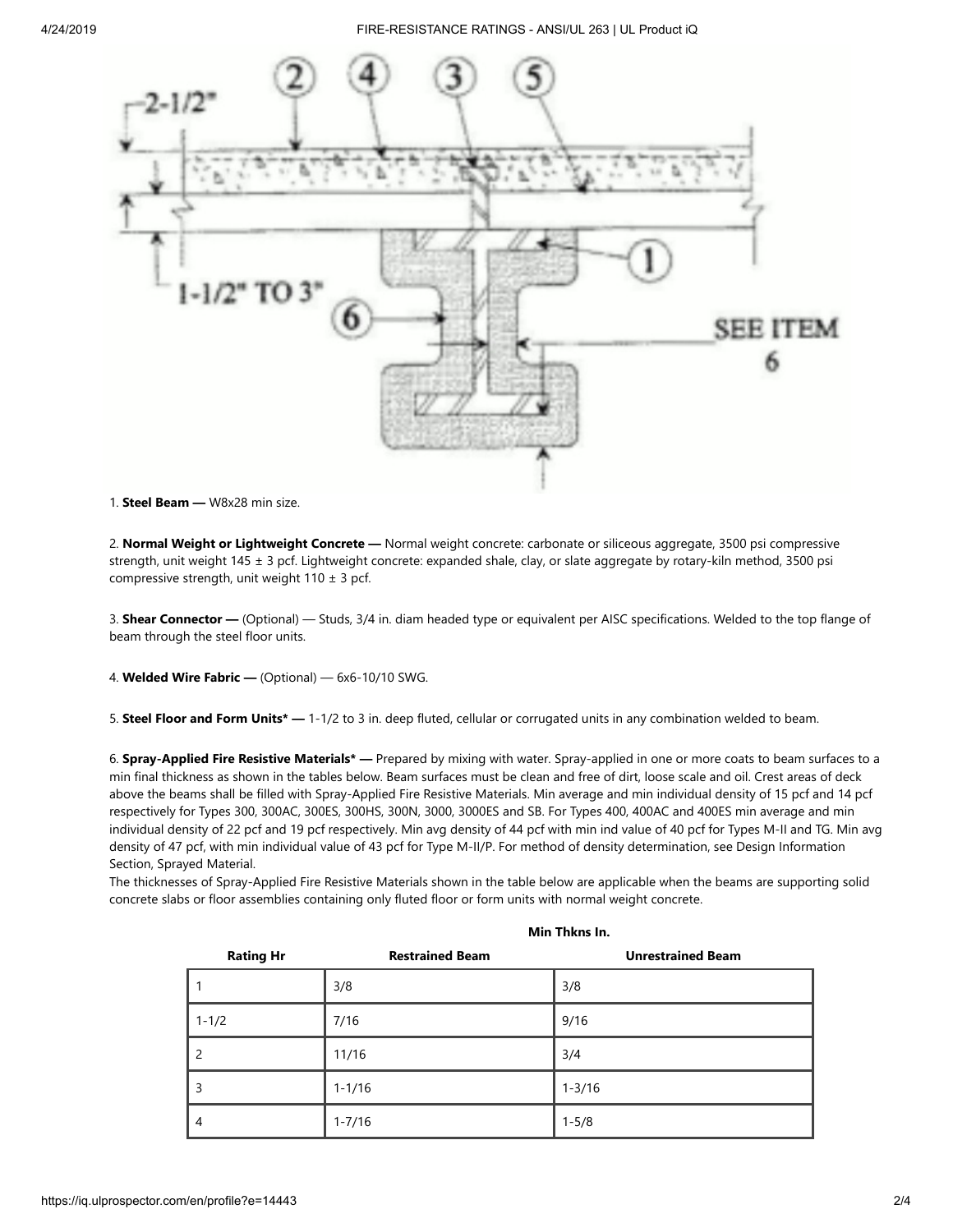

1. **Steel Beam —** W8x28 min size.

2. **Normal Weight or Lightweight Concrete —** Normal weight concrete: carbonate or siliceous aggregate, 3500 psi compressive strength, unit weight 145 ± 3 pcf. Lightweight concrete: expanded shale, clay, or slate aggregate by rotary-kiln method, 3500 psi compressive strength, unit weight  $110 \pm 3$  pcf.

3. **Shear Connector —** (Optional) — Studs, 3/4 in. diam headed type or equivalent per AISC specifications. Welded to the top flange of beam through the steel floor units.

4. **Welded Wire Fabric —** (Optional) — 6x6-10/10 SWG.

5. **Steel Floor and Form Units\* —** 1-1/2 to 3 in. deep fluted, cellular or corrugated units in any combination welded to beam.

6. **Spray-Applied Fire Resistive Materials\* —** Prepared by mixing with water. Spray-applied in one or more coats to beam surfaces to a min final thickness as shown in the tables below. Beam surfaces must be clean and free of dirt, loose scale and oil. Crest areas of deck above the beams shall be filled with Spray-Applied Fire Resistive Materials. Min average and min individual density of 15 pcf and 14 pcf respectively for Types 300, 300AC, 300ES, 300HS, 300N, 3000, 3000ES and SB. For Types 400, 400AC and 400ES min average and min individual density of 22 pcf and 19 pcf respectively. Min avg density of 44 pcf with min ind value of 40 pcf for Types M-II and TG. Min avg density of 47 pcf, with min individual value of 43 pcf for Type M-II/P. For method of density determination, see Design Information Section, Sprayed Material.

The thicknesses of Spray-Applied Fire Resistive Materials shown in the table below are applicable when the beams are supporting solid concrete slabs or floor assemblies containing only fluted floor or form units with normal weight concrete.

|                  | Min Thkns In.          |                          |  |
|------------------|------------------------|--------------------------|--|
| <b>Rating Hr</b> | <b>Restrained Beam</b> | <b>Unrestrained Beam</b> |  |
|                  | 3/8                    | 3/8                      |  |
| $1 - 1/2$        | 7/16                   | 9/16                     |  |
| $\overline{2}$   | 11/16                  | 3/4                      |  |
| 3                | $1 - 1/16$             | $1 - 3/16$               |  |
| $\overline{4}$   | $1 - 7/16$             | $1 - 5/8$                |  |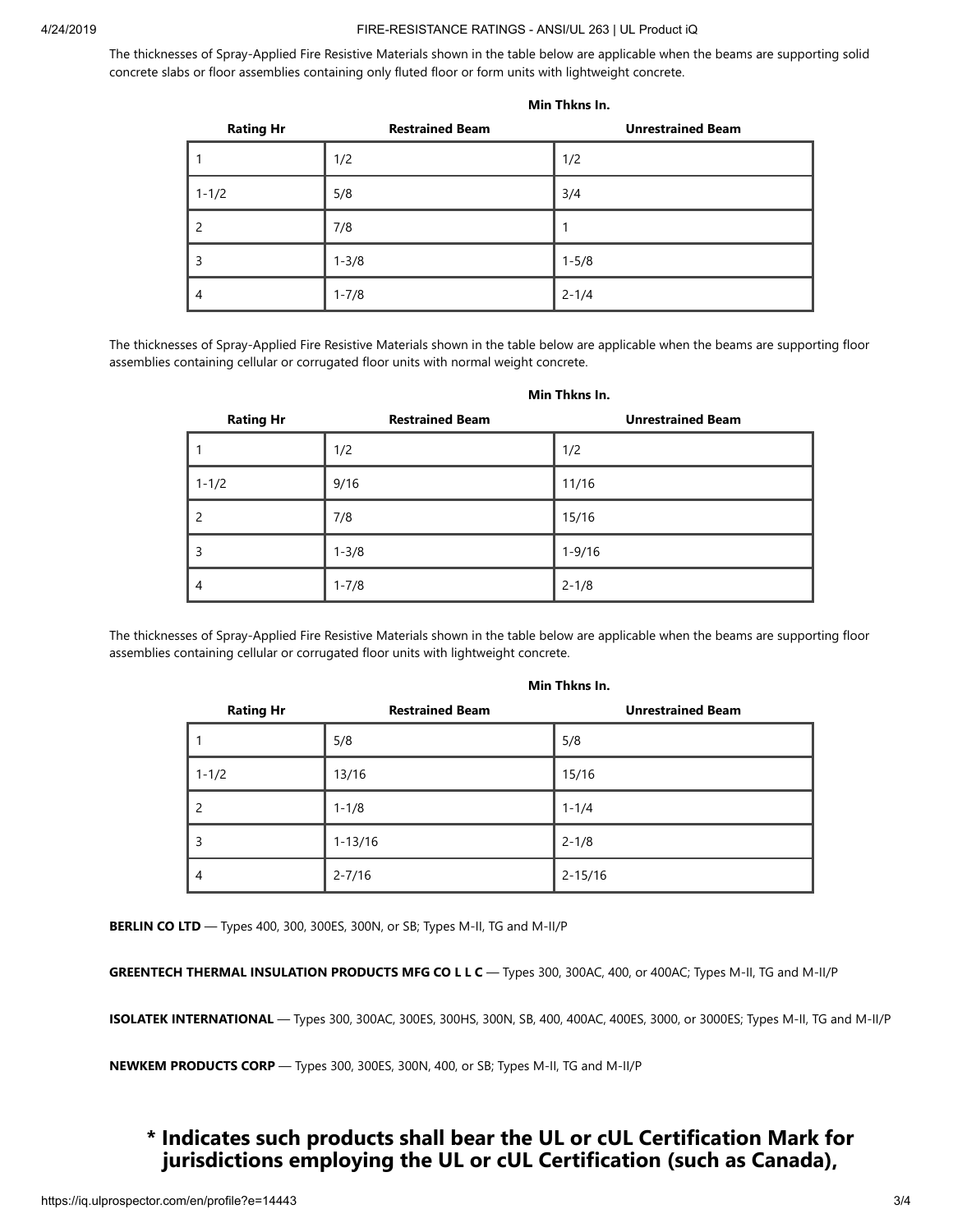#### 4/24/2019 FIRE-RESISTANCE RATINGS - ANSI/UL 263 | UL Product iQ

**Min Thkns In.**

The thicknesses of Spray-Applied Fire Resistive Materials shown in the table below are applicable when the beams are supporting solid concrete slabs or floor assemblies containing only fluted floor or form units with lightweight concrete.

| <b>Rating Hr</b> | <b>Restrained Beam</b> | <b>Unrestrained Beam</b> |
|------------------|------------------------|--------------------------|
|                  | 1/2                    | 1/2                      |
| $1 - 1/2$        | 5/8                    | 3/4                      |
| 2                | 7/8                    |                          |
| 3                | $1 - 3/8$              | $1 - 5/8$                |
| 4                | $1 - 7/8$              | $2 - 1/4$                |

The thicknesses of Spray-Applied Fire Resistive Materials shown in the table below are applicable when the beams are supporting floor assemblies containing cellular or corrugated floor units with normal weight concrete.

|                          | Min Thkns In.          |                          |  |
|--------------------------|------------------------|--------------------------|--|
| <b>Rating Hr</b>         | <b>Restrained Beam</b> | <b>Unrestrained Beam</b> |  |
|                          | 1/2                    | 1/2                      |  |
| $1 - 1/2$                | 9/16                   | 11/16                    |  |
| $\overline{\phantom{0}}$ | 7/8                    | 15/16                    |  |
| 3                        | $1 - 3/8$              | $1 - 9/16$               |  |
| $\overline{4}$           | $1 - 7/8$              | $2 - 1/8$                |  |

#### The thicknesses of Spray-Applied Fire Resistive Materials shown in the table below are applicable when the beams are supporting floor assemblies containing cellular or corrugated floor units with lightweight concrete.

| <b>Rating Hr</b>         | <b>Restrained Beam</b> | <b>Unrestrained Beam</b> |
|--------------------------|------------------------|--------------------------|
|                          | 5/8                    | 5/8                      |
| $1 - 1/2$                | 13/16                  | 15/16                    |
| $\overline{\phantom{0}}$ | $1 - 1/8$              | $1 - 1/4$                |
| 3                        | $1 - 13/16$            | $2 - 1/8$                |
| 4                        | $2 - 7/16$             | $2 - 15/16$              |

#### **Min Thkns In.**

**BERLIN CO LTD** — Types 400, 300, 300ES, 300N, or SB; Types M-II, TG and M-II/P

**GREENTECH THERMAL INSULATION PRODUCTS MFG CO L L C** — Types 300, 300AC, 400, or 400AC; Types M-II, TG and M-II/P

**ISOLATEK INTERNATIONAL** — Types 300, 300AC, 300ES, 300HS, 300N, SB, 400, 400AC, 400ES, 3000, or 3000ES; Types M-II, TG and M-II/P

**NEWKEM PRODUCTS CORP** — Types 300, 300ES, 300N, 400, or SB; Types M-II, TG and M-II/P

## **\* Indicates such products shall bear the UL or cUL Certification Mark for jurisdictions employing the UL or cUL Certification (such as Canada),**